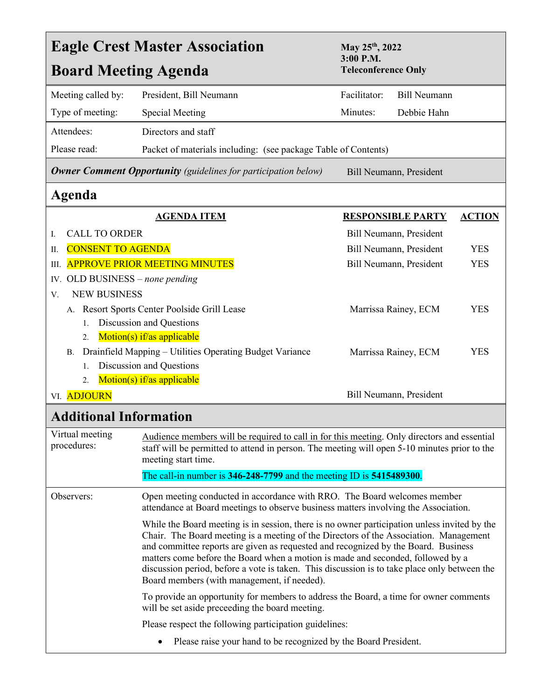| <b>Eagle Crest Master Association</b><br><b>Board Meeting Agenda</b>                                                                                                          |                                                                                                                                                                                                                                                                                                                                                                                                                                                                                                               | May 25 <sup>th</sup> , 2022<br>$3:00$ P.M.<br><b>Teleconference Only</b>                                                                                                                    |                          |               |  |
|-------------------------------------------------------------------------------------------------------------------------------------------------------------------------------|---------------------------------------------------------------------------------------------------------------------------------------------------------------------------------------------------------------------------------------------------------------------------------------------------------------------------------------------------------------------------------------------------------------------------------------------------------------------------------------------------------------|---------------------------------------------------------------------------------------------------------------------------------------------------------------------------------------------|--------------------------|---------------|--|
| Meeting called by:                                                                                                                                                            | President, Bill Neumann                                                                                                                                                                                                                                                                                                                                                                                                                                                                                       | Facilitator:                                                                                                                                                                                | <b>Bill Neumann</b>      |               |  |
| Type of meeting:                                                                                                                                                              | <b>Special Meeting</b>                                                                                                                                                                                                                                                                                                                                                                                                                                                                                        | Minutes:                                                                                                                                                                                    | Debbie Hahn              |               |  |
| Attendees:                                                                                                                                                                    | Directors and staff                                                                                                                                                                                                                                                                                                                                                                                                                                                                                           |                                                                                                                                                                                             |                          |               |  |
| Please read:                                                                                                                                                                  | Packet of materials including: (see package Table of Contents)                                                                                                                                                                                                                                                                                                                                                                                                                                                |                                                                                                                                                                                             |                          |               |  |
| <b>Owner Comment Opportunity</b> (guidelines for participation below)                                                                                                         |                                                                                                                                                                                                                                                                                                                                                                                                                                                                                                               | Bill Neumann, President                                                                                                                                                                     |                          |               |  |
| Agenda                                                                                                                                                                        |                                                                                                                                                                                                                                                                                                                                                                                                                                                                                                               |                                                                                                                                                                                             |                          |               |  |
|                                                                                                                                                                               | <b>AGENDA ITEM</b>                                                                                                                                                                                                                                                                                                                                                                                                                                                                                            |                                                                                                                                                                                             | <b>RESPONSIBLE PARTY</b> | <b>ACTION</b> |  |
| <b>CALL TO ORDER</b><br>Ι.                                                                                                                                                    |                                                                                                                                                                                                                                                                                                                                                                                                                                                                                                               | Bill Neumann, President                                                                                                                                                                     |                          |               |  |
| <b>CONSENT TO AGENDA</b><br>П.                                                                                                                                                |                                                                                                                                                                                                                                                                                                                                                                                                                                                                                                               | Bill Neumann, President                                                                                                                                                                     |                          | <b>YES</b>    |  |
| <b>APPROVE PRIOR MEETING MINUTES</b><br>Ш.                                                                                                                                    |                                                                                                                                                                                                                                                                                                                                                                                                                                                                                                               |                                                                                                                                                                                             | Bill Neumann, President  |               |  |
| OLD BUSINESS - none pending<br>IV.                                                                                                                                            |                                                                                                                                                                                                                                                                                                                                                                                                                                                                                                               |                                                                                                                                                                                             |                          |               |  |
| <b>NEW BUSINESS</b><br>V.                                                                                                                                                     |                                                                                                                                                                                                                                                                                                                                                                                                                                                                                                               |                                                                                                                                                                                             |                          |               |  |
| Resort Sports Center Poolside Grill Lease<br>А.                                                                                                                               |                                                                                                                                                                                                                                                                                                                                                                                                                                                                                                               |                                                                                                                                                                                             | Marrissa Rainey, ECM     | <b>YES</b>    |  |
| Discussion and Questions<br>1.                                                                                                                                                |                                                                                                                                                                                                                                                                                                                                                                                                                                                                                                               |                                                                                                                                                                                             |                          |               |  |
| Motion(s) if/as applicable<br>2.                                                                                                                                              |                                                                                                                                                                                                                                                                                                                                                                                                                                                                                                               |                                                                                                                                                                                             |                          |               |  |
| Drainfield Mapping - Utilities Operating Budget Variance<br>В.                                                                                                                |                                                                                                                                                                                                                                                                                                                                                                                                                                                                                                               |                                                                                                                                                                                             | Marrissa Rainey, ECM     | <b>YES</b>    |  |
| 1.                                                                                                                                                                            | Discussion and Questions                                                                                                                                                                                                                                                                                                                                                                                                                                                                                      |                                                                                                                                                                                             |                          |               |  |
| 2.                                                                                                                                                                            | Motion(s) if/as applicable                                                                                                                                                                                                                                                                                                                                                                                                                                                                                    |                                                                                                                                                                                             |                          |               |  |
| VI. ADJOURN                                                                                                                                                                   |                                                                                                                                                                                                                                                                                                                                                                                                                                                                                                               |                                                                                                                                                                                             | Bill Neumann, President  |               |  |
| <b>Additional Information</b>                                                                                                                                                 |                                                                                                                                                                                                                                                                                                                                                                                                                                                                                                               |                                                                                                                                                                                             |                          |               |  |
| Virtual meeting<br>procedures:                                                                                                                                                | meeting start time.                                                                                                                                                                                                                                                                                                                                                                                                                                                                                           | Audience members will be required to call in for this meeting. Only directors and essential<br>staff will be permitted to attend in person. The meeting will open 5-10 minutes prior to the |                          |               |  |
|                                                                                                                                                                               | The call-in number is $346-248-7799$ and the meeting ID is $5415489300$ .                                                                                                                                                                                                                                                                                                                                                                                                                                     |                                                                                                                                                                                             |                          |               |  |
| Open meeting conducted in accordance with RRO. The Board welcomes member<br>Observers:<br>attendance at Board meetings to observe business matters involving the Association. |                                                                                                                                                                                                                                                                                                                                                                                                                                                                                                               |                                                                                                                                                                                             |                          |               |  |
|                                                                                                                                                                               | While the Board meeting is in session, there is no owner participation unless invited by the<br>Chair. The Board meeting is a meeting of the Directors of the Association. Management<br>and committee reports are given as requested and recognized by the Board. Business<br>matters come before the Board when a motion is made and seconded, followed by a<br>discussion period, before a vote is taken. This discussion is to take place only between the<br>Board members (with management, if needed). |                                                                                                                                                                                             |                          |               |  |
|                                                                                                                                                                               | To provide an opportunity for members to address the Board, a time for owner comments<br>will be set aside preceeding the board meeting.                                                                                                                                                                                                                                                                                                                                                                      |                                                                                                                                                                                             |                          |               |  |
|                                                                                                                                                                               | Please respect the following participation guidelines:                                                                                                                                                                                                                                                                                                                                                                                                                                                        |                                                                                                                                                                                             |                          |               |  |
|                                                                                                                                                                               | Please raise your hand to be recognized by the Board President.                                                                                                                                                                                                                                                                                                                                                                                                                                               |                                                                                                                                                                                             |                          |               |  |